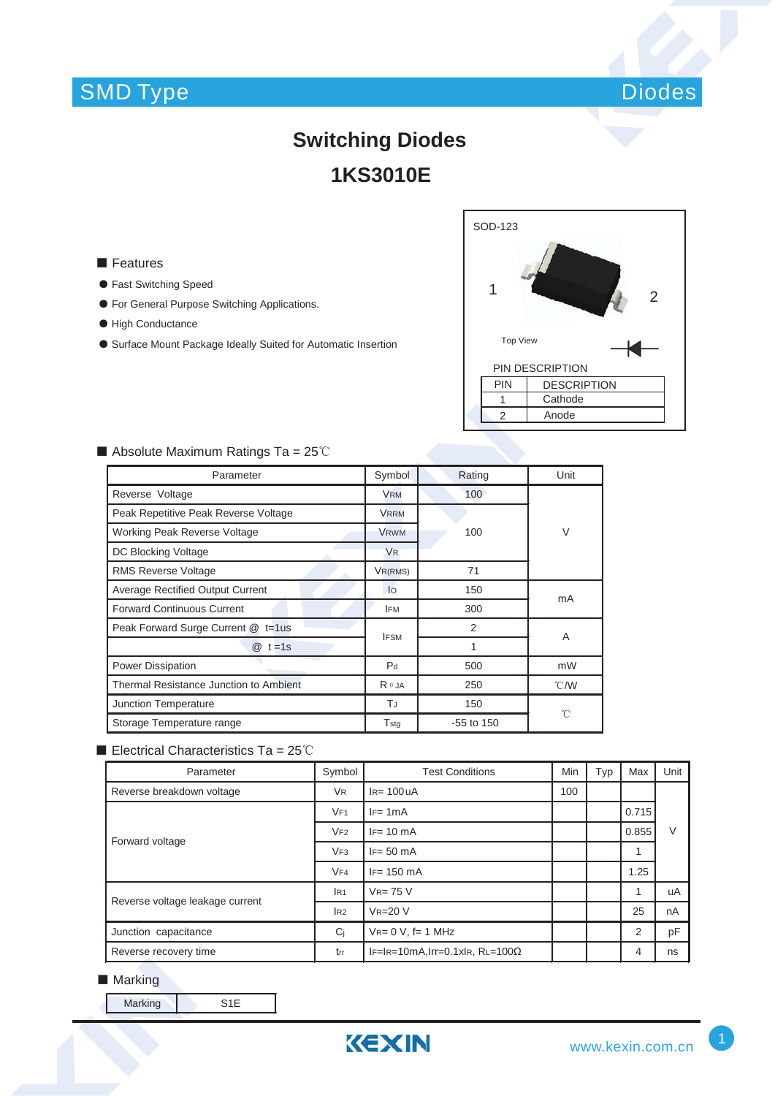### SMD Type



# **Switching Diodes 1KS3010E**

#### ■ Features

- ƽ Fast Switching Speed
- ƽ For General Purpose Switching Applications.
- High Conductance
- ƽ Surface Mount Package Ideally Suited for Automatic Insertion



### $\blacksquare$  Absolute Maximum Ratings Ta = 25°C

| Parameter                               | Symbol               | Rating         | Unit          |  |  |
|-----------------------------------------|----------------------|----------------|---------------|--|--|
| Reverse Voltage                         | <b>VRM</b>           | 100            |               |  |  |
| Peak Repetitive Peak Reverse Voltage    | <b>VRRM</b>          |                |               |  |  |
| <b>Working Peak Reverse Voltage</b>     | <b>VRWM</b>          | 100            | $\vee$        |  |  |
| DC Blocking Voltage                     | <b>V<sub>R</sub></b> |                |               |  |  |
| <b>RMS Reverse Voltage</b>              | VR(RMS)              | 71             |               |  |  |
| <b>Average Rectified Output Current</b> | lo                   | 150            | mA            |  |  |
| <b>Forward Continuous Current</b>       | <b>IFM</b>           | 300            |               |  |  |
| Peak Forward Surge Current @ t=1us      | <b>IFSM</b>          | $\overline{2}$ | A             |  |  |
| $@t=1s$                                 |                      | 1              |               |  |  |
| Power Dissipation                       | P <sub>d</sub>       | 500            | mW            |  |  |
| Thermal Resistance Junction to Ambient  | $R \theta$ JA        | 250            | $\degree$ C/W |  |  |
| Junction Temperature                    | TJ                   | 150            | °C            |  |  |
| Storage Temperature range               | Tstg                 | $-55$ to 150   |               |  |  |

#### Electrical Characteristics Ta =  $25^{\circ}$ C

| Parameter                       | Symbol               | <b>Test Conditions</b>                |  | Typ | Max            | Unit |
|---------------------------------|----------------------|---------------------------------------|--|-----|----------------|------|
| Reverse breakdown voltage       | <b>V<sub>R</sub></b> | $IR=100UA$                            |  |     |                |      |
| Forward voltage                 | VF1                  | $IF = 1mA$                            |  |     | 0.715          | V    |
|                                 | VF2                  | $IF = 10 mA$                          |  |     | 0.855          |      |
|                                 | VF3                  | $IF = 50 \text{ mA}$                  |  |     |                |      |
|                                 | VF4                  | $IF = 150 \text{ mA}$                 |  |     | 1.25           |      |
| Reverse voltage leakage current | IR1                  | $V_{R=75}$ V                          |  |     |                | uA   |
|                                 | IR2                  | $VR = 20 V$                           |  |     | 25             | nA   |
| Junction capacitance            | Ci                   | $V_{R} = 0 V$ , f= 1 MHz              |  |     | $\overline{2}$ | pF   |
| Reverse recovery time           | trr                  | IF=IR=10mA,Irr=0.1xIR, $RL=100\Omega$ |  |     | 4              | ns   |

#### ■ Marking

Marking S1E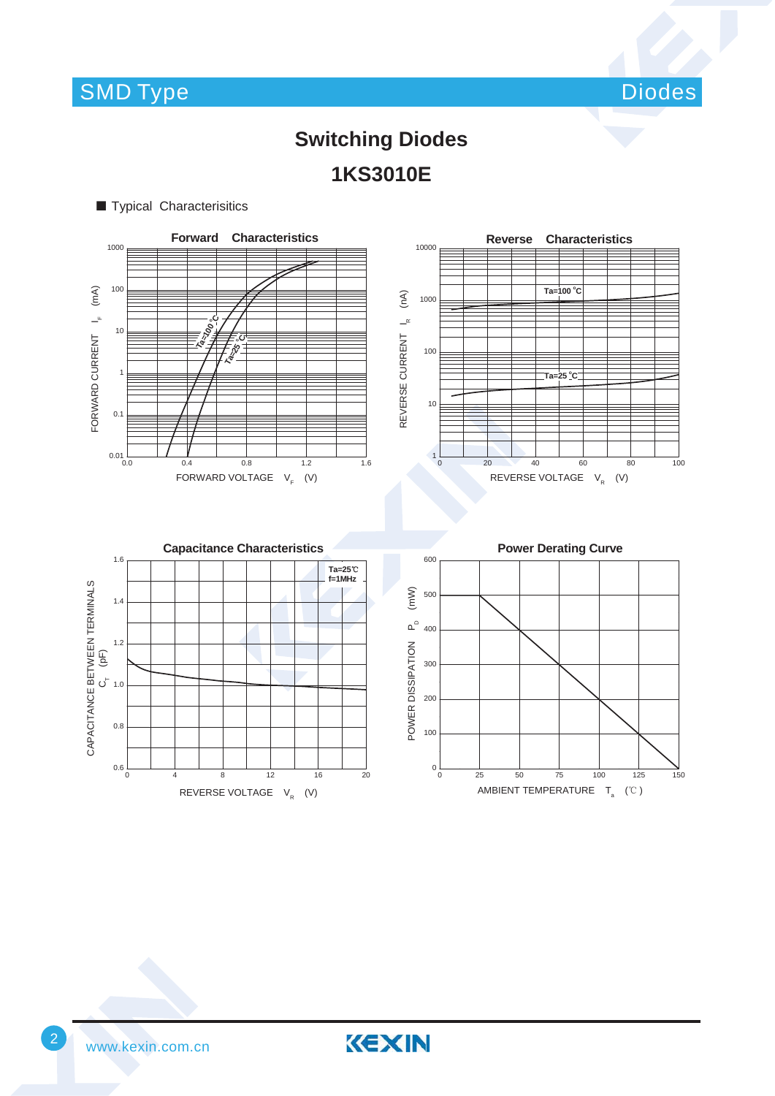Diodes

# **Switching Diodes 1KS3010E**